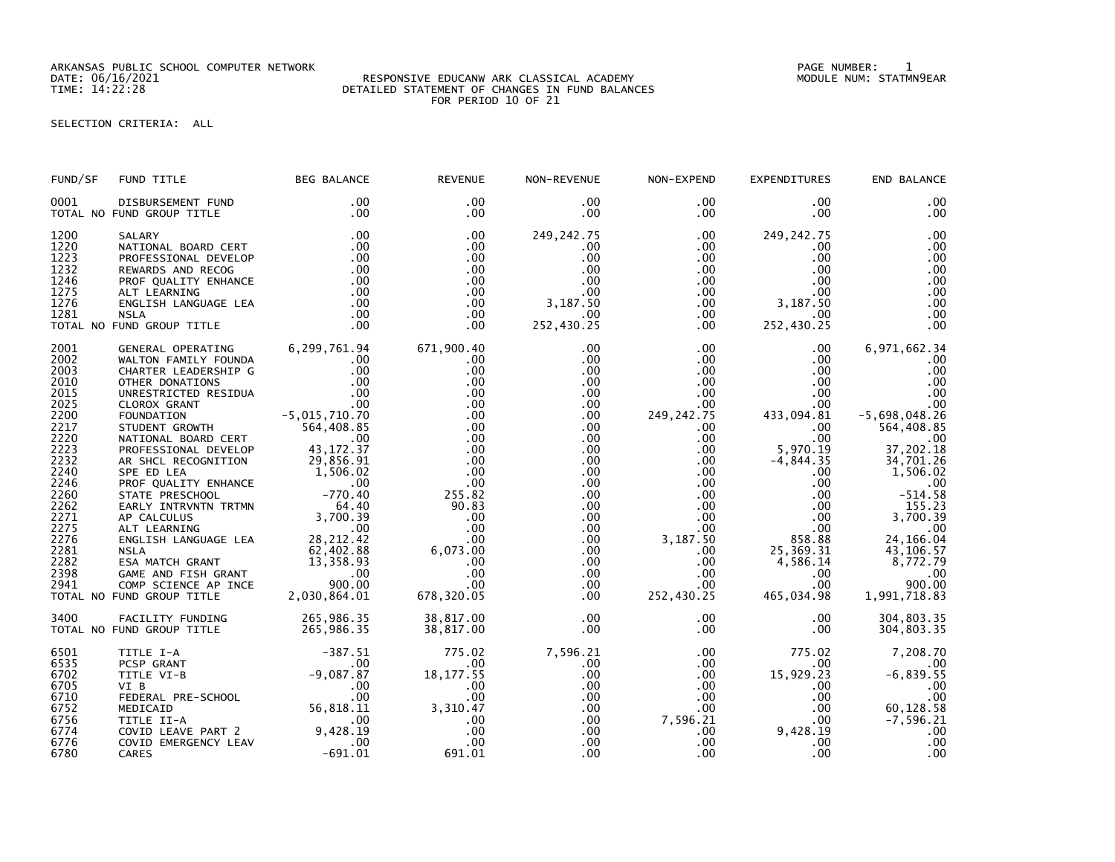ARKANSAS PUBLIC SCHOOL COMPUTER NETWORK PAGE NUMBER: 1

## DATE: 06/16/2021 RESPONSIVE EDUCANW ARK CLASSICAL ACADEMY MODULE NUM: STATMN9EAR TIME: 14:22:28 DETAILED STATEMENT OF CHANGES IN FUND BALANCES FOR PERIOD 10 OF 21

SELECTION CRITERIA: ALL

| 0001<br>.00<br>.00<br>$.00 \,$<br>$.00 \,$<br>$.00 \,$<br>.00<br>DISBURSEMENT FUND<br>.00<br>$.00 \,$<br>$.00 \,$<br>TOTAL NO FUND GROUP TITLE<br>$.00 \times$<br>$.00 \,$<br>.00<br>.00<br>1200<br>249, 242. 75<br>.00<br>.00<br>$.00 \,$<br>249, 242. 75<br>SALARY<br>1220<br>.00<br>.00<br>$.00 \,$<br>NATIONAL BOARD CERT<br>$.00 \,$<br>.00<br>$.00 \,$<br>.00<br>1223<br>.00<br>.00<br>$.00 \,$<br>$.00 \,$<br>PROFESSIONAL DEVELOP<br>.00<br>1232<br>.00<br>.00<br>.00<br>$.00\,$<br>REWARDS AND RECOG<br>.00<br>$.00 \,$<br>$\frac{00}{00}$<br>.00<br>1246<br>PROF QUALITY ENHANCE<br>$.00 \,$<br>.00<br>$.00\,$<br>$.00 \cdot$<br>.00<br>1275<br>.00<br>.00<br>$.00 \,$<br>.00<br>$.00\,$<br>ALT LEARNING<br>3,187.50<br>3,187.50<br>1276<br>.00<br>.00<br>ENGLISH LANGUAGE LEA<br>.00<br>$.00 \,$<br>.00<br>.00<br>1281<br>.00<br>$.00 \,$<br>$.00 \,$<br>$.00 \,$<br><b>NSLA</b><br>252,430.25<br>252,430.25<br>TOTAL NO FUND GROUP TITLE<br>.00<br>.00<br>.00<br>.00<br>6,299,761.94<br>6,971,662.34<br>2001<br>671,900.40<br>$.00 \,$<br>.00<br>$.00 \,$<br>GENERAL OPERATING<br>2002<br>.00<br>$.00\,$<br>.00<br>$.00 \times$<br>$.00 \ \,$<br>.00<br>WALTON FAMILY FOUNDA<br>2003<br>.00<br>.00<br>.00<br>$.00\,$<br>$.00 \,$<br>.00<br>CHARTER LEADERSHIP G<br>2010<br>.00<br>OTHER DONATIONS<br>$\overline{\phantom{0}}$ .00<br>.00.<br>.00<br>$.00\,$<br>$.00 \,$<br>$\begin{array}{r} .00 \\ .00 \\ .00 \\ .00 \\ .00 \\ .015,710.70 \\ .00 \\ .00 \\ .00 \\ .00 \\ .00 \\ .00 \\ .00 \\ .00 \\ .00$<br>2015<br>.00<br>.00 <sub>1</sub><br>$.00 \,$<br>.00<br>.00<br>UNRESTRICTED RESIDUA<br>2025<br>.00<br>.00<br>$.00 \,$<br>.00<br>$.00 \,$<br>CLOROX GRANT<br>2200<br>.00<br>249, 242. 75<br>433,094.81<br>$-5,698,048.26$<br>.00<br>FOUNDATION<br>2217<br>STUDENT GROWTH 564,408.85<br>564,408.85<br>.00<br>.00<br>.00<br>$.00 \cdot$<br>2220<br>2223<br>.00 <sub>1</sub><br>.00<br>$\sim$ 00<br>.00<br>$.00 \,$<br>$00$ .<br>37,202.18<br>NATIONAL BOARD CERT<br>$\begin{array}{r} 43\,, 172\, .37\ 29\,, 856\, .91\ 1\,, 506\, .02\ 0\ -770\, .40\ \end{array}$<br>5,970.19<br>$.00 \,$<br>$.00\,$<br>PROFESSIONAL DEVELOP<br>.00<br>2232<br>$-4,844.35$<br>.00<br>$.00 \,$<br>$.00\,$<br>34,701.26<br>AR SHCL RECOGNITION<br>2240<br>.00<br>$.00 \,$<br>$.00\,$<br>1,506.02<br>SPE ED LEA<br>$.00 \,$<br>2246<br>PROF QUALITY ENHANCE<br>.00<br>$.00\,$<br>$.00 \,$<br>$.00 \,$<br>.00<br>2260<br>$-514.58$<br>255.82<br>$.00 \,$<br>$.00\,$<br>$.00 \,$<br>STATE PRESCHOOL<br>2262<br>PAPER PRESSURE CONTROLLER<br>APCALCULUS<br>APCALCULUS<br>APCALCULUS<br>APCALCULUS<br>APCALCULUS<br>APCALCULUS<br>3,700.39<br>ALT LEARNING<br>ENGLISH LANGUAGE LEA<br>28,212.42<br>62,402.88<br>62,402.88<br>GAME AND FISH GRANT<br>COMP SCIENCE AP INCE<br>2<br>90.83<br>$.00 \,$<br>$.00\,$<br>155.23<br>$.00\,$<br>3,700.39<br>2271<br>.00<br>.00<br>$.00\,$<br>.00<br>2275<br>.00<br>.00<br>.00<br>$.00 \,$<br>.00<br>24, 166.04<br>2276<br>858.88<br>25,369.31<br>$.00 \,$<br>3,187.50<br>.00<br>2281<br>6,073.00<br>$.00 \,$<br>43,106.57<br>$.00 \,$<br>4,586.14<br>8,772.79<br>2282<br>.00<br>$.00 \,$<br>$.00\,$<br>2398<br>.00<br>.00<br>$.00 \,$<br>$.00\,$<br>$.00 \ \,$<br>900.00<br>2941<br>.00<br>$.00 \,$<br>$.00 \,$<br>$.00\,$<br>678,320.05<br>252,430.25<br>465,034.98<br>1,991,718.83<br>.00<br>TOTAL NO FUND GROUP TITLE<br>3400<br>265,986.35<br>.00<br>.00 <sub>1</sub><br>38,817.00<br>.00<br>304,803.35<br>FACILITY FUNDING<br>.00<br>$.00 \cdot$<br>$.00 \,$<br>TOTAL NO FUND GROUP TITLE<br>265,986.35<br>38,817.00<br>304,803.35<br>$-387.51$<br>775.02<br>7,596.21<br>775.02<br>7,208.70<br>6501<br>$.00 \,$<br>TITLE I-A<br>6535<br>PCSP GRANT<br>$.00 \,$<br>.00<br>$.00 \,$<br>$.00 \,$<br>.00<br>$-9,087.87$<br>18, 177.55<br>15,929.23<br>6702<br>TITLE VI-B<br>.00<br>$.00 \,$<br>6705<br>VI B<br>.00<br>.00<br>$.00 \,$<br>$.00 \,$<br>$.00 \,$<br>.00<br>VI B<br>FEDERAL PRE-SCHOOL 00<br>MEDICAID 6.818.11<br>.00<br>6710<br>.00<br>.00<br>.00<br>$.00 \,$<br>3,310.47<br>$60, 128.58$<br>-7,596.21<br>6752<br>$.00 \,$<br>$.00\,$<br>$.00 \,$<br>7,596.21<br>6756<br>$.00 \,$<br>$.00 \,$<br>.00<br>$\sim$ .00<br>TITLE II-A<br>COVID LEAVE PART 2 9,428.19<br>9,428.19<br>6774<br>$.00 \,$<br>.00<br>.00<br>.00<br>.00<br>$.00 \,$<br>6776<br>.00<br>.00<br>$.00 \,$<br>$.00 \,$<br>COVID EMERGENCY LEAV<br>$-691.01$<br>.00<br>691.01<br>.00 <sub>1</sub><br>.00 <sub>1</sub><br>$.00 \,$<br>6780<br>CARES | FUND/SF | FUND TITLE | <b>BEG BALANCE</b> | <b>REVENUE</b> | NON-REVENUE | NON-EXPEND | <b>EXPENDITURES</b> | END BALANCE |
|-----------------------------------------------------------------------------------------------------------------------------------------------------------------------------------------------------------------------------------------------------------------------------------------------------------------------------------------------------------------------------------------------------------------------------------------------------------------------------------------------------------------------------------------------------------------------------------------------------------------------------------------------------------------------------------------------------------------------------------------------------------------------------------------------------------------------------------------------------------------------------------------------------------------------------------------------------------------------------------------------------------------------------------------------------------------------------------------------------------------------------------------------------------------------------------------------------------------------------------------------------------------------------------------------------------------------------------------------------------------------------------------------------------------------------------------------------------------------------------------------------------------------------------------------------------------------------------------------------------------------------------------------------------------------------------------------------------------------------------------------------------------------------------------------------------------------------------------------------------------------------------------------------------------------------------------------------------------------------------------------------------------------------------------------------------------------------------------------------------------------------------------------------------------------------------------------------------------------------------------------------------------------------------------------------------------------------------------------------------------------------------------------------------------------------------------------------------------------------------------------------------------------------------------------------------------------------------------------------------------------------------------------------------------------------------------------------------------------------------------------------------------------------------------------------------------------------------------------------------------------------------------------------------------------------------------------------------------------------------------------------------------------------------------------------------------------------------------------------------------------------------------------------------------------------------------------------------------------------------------------------------------------------------------------------------------------------------------------------------------------------------------------------------------------------------------------------------------------------------------------------------------------------------------------------------------------------------------------------------------------------------------------------------------------------------------------------------------------------------------------------------------------------------------------------------------------------------------------------------------------------------------------------------------------------------------------------------------------------------------------------------------------------------------------------------------------------------------------------------------------------------------------------------------------------------------------------------------------------------------------------------------------------------------------------------------------------------------------------------------------------------------------------------------------------------------------------------------------|---------|------------|--------------------|----------------|-------------|------------|---------------------|-------------|
|                                                                                                                                                                                                                                                                                                                                                                                                                                                                                                                                                                                                                                                                                                                                                                                                                                                                                                                                                                                                                                                                                                                                                                                                                                                                                                                                                                                                                                                                                                                                                                                                                                                                                                                                                                                                                                                                                                                                                                                                                                                                                                                                                                                                                                                                                                                                                                                                                                                                                                                                                                                                                                                                                                                                                                                                                                                                                                                                                                                                                                                                                                                                                                                                                                                                                                                                                                                                                                                                                                                                                                                                                                                                                                                                                                                                                                                                                                                                                                                                                                                                                                                                                                                                                                                                                                                                                                                                                                                                       |         |            |                    |                |             |            |                     |             |
|                                                                                                                                                                                                                                                                                                                                                                                                                                                                                                                                                                                                                                                                                                                                                                                                                                                                                                                                                                                                                                                                                                                                                                                                                                                                                                                                                                                                                                                                                                                                                                                                                                                                                                                                                                                                                                                                                                                                                                                                                                                                                                                                                                                                                                                                                                                                                                                                                                                                                                                                                                                                                                                                                                                                                                                                                                                                                                                                                                                                                                                                                                                                                                                                                                                                                                                                                                                                                                                                                                                                                                                                                                                                                                                                                                                                                                                                                                                                                                                                                                                                                                                                                                                                                                                                                                                                                                                                                                                                       |         |            |                    |                |             |            |                     |             |
|                                                                                                                                                                                                                                                                                                                                                                                                                                                                                                                                                                                                                                                                                                                                                                                                                                                                                                                                                                                                                                                                                                                                                                                                                                                                                                                                                                                                                                                                                                                                                                                                                                                                                                                                                                                                                                                                                                                                                                                                                                                                                                                                                                                                                                                                                                                                                                                                                                                                                                                                                                                                                                                                                                                                                                                                                                                                                                                                                                                                                                                                                                                                                                                                                                                                                                                                                                                                                                                                                                                                                                                                                                                                                                                                                                                                                                                                                                                                                                                                                                                                                                                                                                                                                                                                                                                                                                                                                                                                       |         |            |                    |                |             |            |                     |             |
|                                                                                                                                                                                                                                                                                                                                                                                                                                                                                                                                                                                                                                                                                                                                                                                                                                                                                                                                                                                                                                                                                                                                                                                                                                                                                                                                                                                                                                                                                                                                                                                                                                                                                                                                                                                                                                                                                                                                                                                                                                                                                                                                                                                                                                                                                                                                                                                                                                                                                                                                                                                                                                                                                                                                                                                                                                                                                                                                                                                                                                                                                                                                                                                                                                                                                                                                                                                                                                                                                                                                                                                                                                                                                                                                                                                                                                                                                                                                                                                                                                                                                                                                                                                                                                                                                                                                                                                                                                                                       |         |            |                    |                |             |            |                     |             |
|                                                                                                                                                                                                                                                                                                                                                                                                                                                                                                                                                                                                                                                                                                                                                                                                                                                                                                                                                                                                                                                                                                                                                                                                                                                                                                                                                                                                                                                                                                                                                                                                                                                                                                                                                                                                                                                                                                                                                                                                                                                                                                                                                                                                                                                                                                                                                                                                                                                                                                                                                                                                                                                                                                                                                                                                                                                                                                                                                                                                                                                                                                                                                                                                                                                                                                                                                                                                                                                                                                                                                                                                                                                                                                                                                                                                                                                                                                                                                                                                                                                                                                                                                                                                                                                                                                                                                                                                                                                                       |         |            |                    |                |             |            |                     |             |
|                                                                                                                                                                                                                                                                                                                                                                                                                                                                                                                                                                                                                                                                                                                                                                                                                                                                                                                                                                                                                                                                                                                                                                                                                                                                                                                                                                                                                                                                                                                                                                                                                                                                                                                                                                                                                                                                                                                                                                                                                                                                                                                                                                                                                                                                                                                                                                                                                                                                                                                                                                                                                                                                                                                                                                                                                                                                                                                                                                                                                                                                                                                                                                                                                                                                                                                                                                                                                                                                                                                                                                                                                                                                                                                                                                                                                                                                                                                                                                                                                                                                                                                                                                                                                                                                                                                                                                                                                                                                       |         |            |                    |                |             |            |                     |             |
|                                                                                                                                                                                                                                                                                                                                                                                                                                                                                                                                                                                                                                                                                                                                                                                                                                                                                                                                                                                                                                                                                                                                                                                                                                                                                                                                                                                                                                                                                                                                                                                                                                                                                                                                                                                                                                                                                                                                                                                                                                                                                                                                                                                                                                                                                                                                                                                                                                                                                                                                                                                                                                                                                                                                                                                                                                                                                                                                                                                                                                                                                                                                                                                                                                                                                                                                                                                                                                                                                                                                                                                                                                                                                                                                                                                                                                                                                                                                                                                                                                                                                                                                                                                                                                                                                                                                                                                                                                                                       |         |            |                    |                |             |            |                     |             |
|                                                                                                                                                                                                                                                                                                                                                                                                                                                                                                                                                                                                                                                                                                                                                                                                                                                                                                                                                                                                                                                                                                                                                                                                                                                                                                                                                                                                                                                                                                                                                                                                                                                                                                                                                                                                                                                                                                                                                                                                                                                                                                                                                                                                                                                                                                                                                                                                                                                                                                                                                                                                                                                                                                                                                                                                                                                                                                                                                                                                                                                                                                                                                                                                                                                                                                                                                                                                                                                                                                                                                                                                                                                                                                                                                                                                                                                                                                                                                                                                                                                                                                                                                                                                                                                                                                                                                                                                                                                                       |         |            |                    |                |             |            |                     |             |
|                                                                                                                                                                                                                                                                                                                                                                                                                                                                                                                                                                                                                                                                                                                                                                                                                                                                                                                                                                                                                                                                                                                                                                                                                                                                                                                                                                                                                                                                                                                                                                                                                                                                                                                                                                                                                                                                                                                                                                                                                                                                                                                                                                                                                                                                                                                                                                                                                                                                                                                                                                                                                                                                                                                                                                                                                                                                                                                                                                                                                                                                                                                                                                                                                                                                                                                                                                                                                                                                                                                                                                                                                                                                                                                                                                                                                                                                                                                                                                                                                                                                                                                                                                                                                                                                                                                                                                                                                                                                       |         |            |                    |                |             |            |                     |             |
|                                                                                                                                                                                                                                                                                                                                                                                                                                                                                                                                                                                                                                                                                                                                                                                                                                                                                                                                                                                                                                                                                                                                                                                                                                                                                                                                                                                                                                                                                                                                                                                                                                                                                                                                                                                                                                                                                                                                                                                                                                                                                                                                                                                                                                                                                                                                                                                                                                                                                                                                                                                                                                                                                                                                                                                                                                                                                                                                                                                                                                                                                                                                                                                                                                                                                                                                                                                                                                                                                                                                                                                                                                                                                                                                                                                                                                                                                                                                                                                                                                                                                                                                                                                                                                                                                                                                                                                                                                                                       |         |            |                    |                |             |            |                     |             |
|                                                                                                                                                                                                                                                                                                                                                                                                                                                                                                                                                                                                                                                                                                                                                                                                                                                                                                                                                                                                                                                                                                                                                                                                                                                                                                                                                                                                                                                                                                                                                                                                                                                                                                                                                                                                                                                                                                                                                                                                                                                                                                                                                                                                                                                                                                                                                                                                                                                                                                                                                                                                                                                                                                                                                                                                                                                                                                                                                                                                                                                                                                                                                                                                                                                                                                                                                                                                                                                                                                                                                                                                                                                                                                                                                                                                                                                                                                                                                                                                                                                                                                                                                                                                                                                                                                                                                                                                                                                                       |         |            |                    |                |             |            |                     |             |
|                                                                                                                                                                                                                                                                                                                                                                                                                                                                                                                                                                                                                                                                                                                                                                                                                                                                                                                                                                                                                                                                                                                                                                                                                                                                                                                                                                                                                                                                                                                                                                                                                                                                                                                                                                                                                                                                                                                                                                                                                                                                                                                                                                                                                                                                                                                                                                                                                                                                                                                                                                                                                                                                                                                                                                                                                                                                                                                                                                                                                                                                                                                                                                                                                                                                                                                                                                                                                                                                                                                                                                                                                                                                                                                                                                                                                                                                                                                                                                                                                                                                                                                                                                                                                                                                                                                                                                                                                                                                       |         |            |                    |                |             |            |                     |             |
|                                                                                                                                                                                                                                                                                                                                                                                                                                                                                                                                                                                                                                                                                                                                                                                                                                                                                                                                                                                                                                                                                                                                                                                                                                                                                                                                                                                                                                                                                                                                                                                                                                                                                                                                                                                                                                                                                                                                                                                                                                                                                                                                                                                                                                                                                                                                                                                                                                                                                                                                                                                                                                                                                                                                                                                                                                                                                                                                                                                                                                                                                                                                                                                                                                                                                                                                                                                                                                                                                                                                                                                                                                                                                                                                                                                                                                                                                                                                                                                                                                                                                                                                                                                                                                                                                                                                                                                                                                                                       |         |            |                    |                |             |            |                     |             |
|                                                                                                                                                                                                                                                                                                                                                                                                                                                                                                                                                                                                                                                                                                                                                                                                                                                                                                                                                                                                                                                                                                                                                                                                                                                                                                                                                                                                                                                                                                                                                                                                                                                                                                                                                                                                                                                                                                                                                                                                                                                                                                                                                                                                                                                                                                                                                                                                                                                                                                                                                                                                                                                                                                                                                                                                                                                                                                                                                                                                                                                                                                                                                                                                                                                                                                                                                                                                                                                                                                                                                                                                                                                                                                                                                                                                                                                                                                                                                                                                                                                                                                                                                                                                                                                                                                                                                                                                                                                                       |         |            |                    |                |             |            |                     |             |
|                                                                                                                                                                                                                                                                                                                                                                                                                                                                                                                                                                                                                                                                                                                                                                                                                                                                                                                                                                                                                                                                                                                                                                                                                                                                                                                                                                                                                                                                                                                                                                                                                                                                                                                                                                                                                                                                                                                                                                                                                                                                                                                                                                                                                                                                                                                                                                                                                                                                                                                                                                                                                                                                                                                                                                                                                                                                                                                                                                                                                                                                                                                                                                                                                                                                                                                                                                                                                                                                                                                                                                                                                                                                                                                                                                                                                                                                                                                                                                                                                                                                                                                                                                                                                                                                                                                                                                                                                                                                       |         |            |                    |                |             |            |                     |             |
|                                                                                                                                                                                                                                                                                                                                                                                                                                                                                                                                                                                                                                                                                                                                                                                                                                                                                                                                                                                                                                                                                                                                                                                                                                                                                                                                                                                                                                                                                                                                                                                                                                                                                                                                                                                                                                                                                                                                                                                                                                                                                                                                                                                                                                                                                                                                                                                                                                                                                                                                                                                                                                                                                                                                                                                                                                                                                                                                                                                                                                                                                                                                                                                                                                                                                                                                                                                                                                                                                                                                                                                                                                                                                                                                                                                                                                                                                                                                                                                                                                                                                                                                                                                                                                                                                                                                                                                                                                                                       |         |            |                    |                |             |            |                     |             |
|                                                                                                                                                                                                                                                                                                                                                                                                                                                                                                                                                                                                                                                                                                                                                                                                                                                                                                                                                                                                                                                                                                                                                                                                                                                                                                                                                                                                                                                                                                                                                                                                                                                                                                                                                                                                                                                                                                                                                                                                                                                                                                                                                                                                                                                                                                                                                                                                                                                                                                                                                                                                                                                                                                                                                                                                                                                                                                                                                                                                                                                                                                                                                                                                                                                                                                                                                                                                                                                                                                                                                                                                                                                                                                                                                                                                                                                                                                                                                                                                                                                                                                                                                                                                                                                                                                                                                                                                                                                                       |         |            |                    |                |             |            |                     |             |
|                                                                                                                                                                                                                                                                                                                                                                                                                                                                                                                                                                                                                                                                                                                                                                                                                                                                                                                                                                                                                                                                                                                                                                                                                                                                                                                                                                                                                                                                                                                                                                                                                                                                                                                                                                                                                                                                                                                                                                                                                                                                                                                                                                                                                                                                                                                                                                                                                                                                                                                                                                                                                                                                                                                                                                                                                                                                                                                                                                                                                                                                                                                                                                                                                                                                                                                                                                                                                                                                                                                                                                                                                                                                                                                                                                                                                                                                                                                                                                                                                                                                                                                                                                                                                                                                                                                                                                                                                                                                       |         |            |                    |                |             |            |                     |             |
|                                                                                                                                                                                                                                                                                                                                                                                                                                                                                                                                                                                                                                                                                                                                                                                                                                                                                                                                                                                                                                                                                                                                                                                                                                                                                                                                                                                                                                                                                                                                                                                                                                                                                                                                                                                                                                                                                                                                                                                                                                                                                                                                                                                                                                                                                                                                                                                                                                                                                                                                                                                                                                                                                                                                                                                                                                                                                                                                                                                                                                                                                                                                                                                                                                                                                                                                                                                                                                                                                                                                                                                                                                                                                                                                                                                                                                                                                                                                                                                                                                                                                                                                                                                                                                                                                                                                                                                                                                                                       |         |            |                    |                |             |            |                     |             |
|                                                                                                                                                                                                                                                                                                                                                                                                                                                                                                                                                                                                                                                                                                                                                                                                                                                                                                                                                                                                                                                                                                                                                                                                                                                                                                                                                                                                                                                                                                                                                                                                                                                                                                                                                                                                                                                                                                                                                                                                                                                                                                                                                                                                                                                                                                                                                                                                                                                                                                                                                                                                                                                                                                                                                                                                                                                                                                                                                                                                                                                                                                                                                                                                                                                                                                                                                                                                                                                                                                                                                                                                                                                                                                                                                                                                                                                                                                                                                                                                                                                                                                                                                                                                                                                                                                                                                                                                                                                                       |         |            |                    |                |             |            |                     |             |
|                                                                                                                                                                                                                                                                                                                                                                                                                                                                                                                                                                                                                                                                                                                                                                                                                                                                                                                                                                                                                                                                                                                                                                                                                                                                                                                                                                                                                                                                                                                                                                                                                                                                                                                                                                                                                                                                                                                                                                                                                                                                                                                                                                                                                                                                                                                                                                                                                                                                                                                                                                                                                                                                                                                                                                                                                                                                                                                                                                                                                                                                                                                                                                                                                                                                                                                                                                                                                                                                                                                                                                                                                                                                                                                                                                                                                                                                                                                                                                                                                                                                                                                                                                                                                                                                                                                                                                                                                                                                       |         |            |                    |                |             |            |                     |             |
|                                                                                                                                                                                                                                                                                                                                                                                                                                                                                                                                                                                                                                                                                                                                                                                                                                                                                                                                                                                                                                                                                                                                                                                                                                                                                                                                                                                                                                                                                                                                                                                                                                                                                                                                                                                                                                                                                                                                                                                                                                                                                                                                                                                                                                                                                                                                                                                                                                                                                                                                                                                                                                                                                                                                                                                                                                                                                                                                                                                                                                                                                                                                                                                                                                                                                                                                                                                                                                                                                                                                                                                                                                                                                                                                                                                                                                                                                                                                                                                                                                                                                                                                                                                                                                                                                                                                                                                                                                                                       |         |            |                    |                |             |            |                     |             |
|                                                                                                                                                                                                                                                                                                                                                                                                                                                                                                                                                                                                                                                                                                                                                                                                                                                                                                                                                                                                                                                                                                                                                                                                                                                                                                                                                                                                                                                                                                                                                                                                                                                                                                                                                                                                                                                                                                                                                                                                                                                                                                                                                                                                                                                                                                                                                                                                                                                                                                                                                                                                                                                                                                                                                                                                                                                                                                                                                                                                                                                                                                                                                                                                                                                                                                                                                                                                                                                                                                                                                                                                                                                                                                                                                                                                                                                                                                                                                                                                                                                                                                                                                                                                                                                                                                                                                                                                                                                                       |         |            |                    |                |             |            |                     |             |
|                                                                                                                                                                                                                                                                                                                                                                                                                                                                                                                                                                                                                                                                                                                                                                                                                                                                                                                                                                                                                                                                                                                                                                                                                                                                                                                                                                                                                                                                                                                                                                                                                                                                                                                                                                                                                                                                                                                                                                                                                                                                                                                                                                                                                                                                                                                                                                                                                                                                                                                                                                                                                                                                                                                                                                                                                                                                                                                                                                                                                                                                                                                                                                                                                                                                                                                                                                                                                                                                                                                                                                                                                                                                                                                                                                                                                                                                                                                                                                                                                                                                                                                                                                                                                                                                                                                                                                                                                                                                       |         |            |                    |                |             |            |                     |             |
|                                                                                                                                                                                                                                                                                                                                                                                                                                                                                                                                                                                                                                                                                                                                                                                                                                                                                                                                                                                                                                                                                                                                                                                                                                                                                                                                                                                                                                                                                                                                                                                                                                                                                                                                                                                                                                                                                                                                                                                                                                                                                                                                                                                                                                                                                                                                                                                                                                                                                                                                                                                                                                                                                                                                                                                                                                                                                                                                                                                                                                                                                                                                                                                                                                                                                                                                                                                                                                                                                                                                                                                                                                                                                                                                                                                                                                                                                                                                                                                                                                                                                                                                                                                                                                                                                                                                                                                                                                                                       |         |            |                    |                |             |            |                     |             |
|                                                                                                                                                                                                                                                                                                                                                                                                                                                                                                                                                                                                                                                                                                                                                                                                                                                                                                                                                                                                                                                                                                                                                                                                                                                                                                                                                                                                                                                                                                                                                                                                                                                                                                                                                                                                                                                                                                                                                                                                                                                                                                                                                                                                                                                                                                                                                                                                                                                                                                                                                                                                                                                                                                                                                                                                                                                                                                                                                                                                                                                                                                                                                                                                                                                                                                                                                                                                                                                                                                                                                                                                                                                                                                                                                                                                                                                                                                                                                                                                                                                                                                                                                                                                                                                                                                                                                                                                                                                                       |         |            |                    |                |             |            |                     |             |
|                                                                                                                                                                                                                                                                                                                                                                                                                                                                                                                                                                                                                                                                                                                                                                                                                                                                                                                                                                                                                                                                                                                                                                                                                                                                                                                                                                                                                                                                                                                                                                                                                                                                                                                                                                                                                                                                                                                                                                                                                                                                                                                                                                                                                                                                                                                                                                                                                                                                                                                                                                                                                                                                                                                                                                                                                                                                                                                                                                                                                                                                                                                                                                                                                                                                                                                                                                                                                                                                                                                                                                                                                                                                                                                                                                                                                                                                                                                                                                                                                                                                                                                                                                                                                                                                                                                                                                                                                                                                       |         |            |                    |                |             |            |                     |             |
|                                                                                                                                                                                                                                                                                                                                                                                                                                                                                                                                                                                                                                                                                                                                                                                                                                                                                                                                                                                                                                                                                                                                                                                                                                                                                                                                                                                                                                                                                                                                                                                                                                                                                                                                                                                                                                                                                                                                                                                                                                                                                                                                                                                                                                                                                                                                                                                                                                                                                                                                                                                                                                                                                                                                                                                                                                                                                                                                                                                                                                                                                                                                                                                                                                                                                                                                                                                                                                                                                                                                                                                                                                                                                                                                                                                                                                                                                                                                                                                                                                                                                                                                                                                                                                                                                                                                                                                                                                                                       |         |            |                    |                |             |            |                     |             |
|                                                                                                                                                                                                                                                                                                                                                                                                                                                                                                                                                                                                                                                                                                                                                                                                                                                                                                                                                                                                                                                                                                                                                                                                                                                                                                                                                                                                                                                                                                                                                                                                                                                                                                                                                                                                                                                                                                                                                                                                                                                                                                                                                                                                                                                                                                                                                                                                                                                                                                                                                                                                                                                                                                                                                                                                                                                                                                                                                                                                                                                                                                                                                                                                                                                                                                                                                                                                                                                                                                                                                                                                                                                                                                                                                                                                                                                                                                                                                                                                                                                                                                                                                                                                                                                                                                                                                                                                                                                                       |         |            |                    |                |             |            |                     |             |
|                                                                                                                                                                                                                                                                                                                                                                                                                                                                                                                                                                                                                                                                                                                                                                                                                                                                                                                                                                                                                                                                                                                                                                                                                                                                                                                                                                                                                                                                                                                                                                                                                                                                                                                                                                                                                                                                                                                                                                                                                                                                                                                                                                                                                                                                                                                                                                                                                                                                                                                                                                                                                                                                                                                                                                                                                                                                                                                                                                                                                                                                                                                                                                                                                                                                                                                                                                                                                                                                                                                                                                                                                                                                                                                                                                                                                                                                                                                                                                                                                                                                                                                                                                                                                                                                                                                                                                                                                                                                       |         |            |                    |                |             |            |                     |             |
|                                                                                                                                                                                                                                                                                                                                                                                                                                                                                                                                                                                                                                                                                                                                                                                                                                                                                                                                                                                                                                                                                                                                                                                                                                                                                                                                                                                                                                                                                                                                                                                                                                                                                                                                                                                                                                                                                                                                                                                                                                                                                                                                                                                                                                                                                                                                                                                                                                                                                                                                                                                                                                                                                                                                                                                                                                                                                                                                                                                                                                                                                                                                                                                                                                                                                                                                                                                                                                                                                                                                                                                                                                                                                                                                                                                                                                                                                                                                                                                                                                                                                                                                                                                                                                                                                                                                                                                                                                                                       |         |            |                    |                |             |            |                     |             |
|                                                                                                                                                                                                                                                                                                                                                                                                                                                                                                                                                                                                                                                                                                                                                                                                                                                                                                                                                                                                                                                                                                                                                                                                                                                                                                                                                                                                                                                                                                                                                                                                                                                                                                                                                                                                                                                                                                                                                                                                                                                                                                                                                                                                                                                                                                                                                                                                                                                                                                                                                                                                                                                                                                                                                                                                                                                                                                                                                                                                                                                                                                                                                                                                                                                                                                                                                                                                                                                                                                                                                                                                                                                                                                                                                                                                                                                                                                                                                                                                                                                                                                                                                                                                                                                                                                                                                                                                                                                                       |         |            |                    |                |             |            |                     |             |
|                                                                                                                                                                                                                                                                                                                                                                                                                                                                                                                                                                                                                                                                                                                                                                                                                                                                                                                                                                                                                                                                                                                                                                                                                                                                                                                                                                                                                                                                                                                                                                                                                                                                                                                                                                                                                                                                                                                                                                                                                                                                                                                                                                                                                                                                                                                                                                                                                                                                                                                                                                                                                                                                                                                                                                                                                                                                                                                                                                                                                                                                                                                                                                                                                                                                                                                                                                                                                                                                                                                                                                                                                                                                                                                                                                                                                                                                                                                                                                                                                                                                                                                                                                                                                                                                                                                                                                                                                                                                       |         |            |                    |                |             |            |                     |             |
|                                                                                                                                                                                                                                                                                                                                                                                                                                                                                                                                                                                                                                                                                                                                                                                                                                                                                                                                                                                                                                                                                                                                                                                                                                                                                                                                                                                                                                                                                                                                                                                                                                                                                                                                                                                                                                                                                                                                                                                                                                                                                                                                                                                                                                                                                                                                                                                                                                                                                                                                                                                                                                                                                                                                                                                                                                                                                                                                                                                                                                                                                                                                                                                                                                                                                                                                                                                                                                                                                                                                                                                                                                                                                                                                                                                                                                                                                                                                                                                                                                                                                                                                                                                                                                                                                                                                                                                                                                                                       |         |            |                    |                |             |            |                     |             |
|                                                                                                                                                                                                                                                                                                                                                                                                                                                                                                                                                                                                                                                                                                                                                                                                                                                                                                                                                                                                                                                                                                                                                                                                                                                                                                                                                                                                                                                                                                                                                                                                                                                                                                                                                                                                                                                                                                                                                                                                                                                                                                                                                                                                                                                                                                                                                                                                                                                                                                                                                                                                                                                                                                                                                                                                                                                                                                                                                                                                                                                                                                                                                                                                                                                                                                                                                                                                                                                                                                                                                                                                                                                                                                                                                                                                                                                                                                                                                                                                                                                                                                                                                                                                                                                                                                                                                                                                                                                                       |         |            |                    |                |             |            |                     |             |
|                                                                                                                                                                                                                                                                                                                                                                                                                                                                                                                                                                                                                                                                                                                                                                                                                                                                                                                                                                                                                                                                                                                                                                                                                                                                                                                                                                                                                                                                                                                                                                                                                                                                                                                                                                                                                                                                                                                                                                                                                                                                                                                                                                                                                                                                                                                                                                                                                                                                                                                                                                                                                                                                                                                                                                                                                                                                                                                                                                                                                                                                                                                                                                                                                                                                                                                                                                                                                                                                                                                                                                                                                                                                                                                                                                                                                                                                                                                                                                                                                                                                                                                                                                                                                                                                                                                                                                                                                                                                       |         |            |                    |                |             |            |                     |             |
| $-6,839.55$                                                                                                                                                                                                                                                                                                                                                                                                                                                                                                                                                                                                                                                                                                                                                                                                                                                                                                                                                                                                                                                                                                                                                                                                                                                                                                                                                                                                                                                                                                                                                                                                                                                                                                                                                                                                                                                                                                                                                                                                                                                                                                                                                                                                                                                                                                                                                                                                                                                                                                                                                                                                                                                                                                                                                                                                                                                                                                                                                                                                                                                                                                                                                                                                                                                                                                                                                                                                                                                                                                                                                                                                                                                                                                                                                                                                                                                                                                                                                                                                                                                                                                                                                                                                                                                                                                                                                                                                                                                           |         |            |                    |                |             |            |                     |             |
|                                                                                                                                                                                                                                                                                                                                                                                                                                                                                                                                                                                                                                                                                                                                                                                                                                                                                                                                                                                                                                                                                                                                                                                                                                                                                                                                                                                                                                                                                                                                                                                                                                                                                                                                                                                                                                                                                                                                                                                                                                                                                                                                                                                                                                                                                                                                                                                                                                                                                                                                                                                                                                                                                                                                                                                                                                                                                                                                                                                                                                                                                                                                                                                                                                                                                                                                                                                                                                                                                                                                                                                                                                                                                                                                                                                                                                                                                                                                                                                                                                                                                                                                                                                                                                                                                                                                                                                                                                                                       |         |            |                    |                |             |            |                     |             |
|                                                                                                                                                                                                                                                                                                                                                                                                                                                                                                                                                                                                                                                                                                                                                                                                                                                                                                                                                                                                                                                                                                                                                                                                                                                                                                                                                                                                                                                                                                                                                                                                                                                                                                                                                                                                                                                                                                                                                                                                                                                                                                                                                                                                                                                                                                                                                                                                                                                                                                                                                                                                                                                                                                                                                                                                                                                                                                                                                                                                                                                                                                                                                                                                                                                                                                                                                                                                                                                                                                                                                                                                                                                                                                                                                                                                                                                                                                                                                                                                                                                                                                                                                                                                                                                                                                                                                                                                                                                                       |         |            |                    |                |             |            |                     |             |
|                                                                                                                                                                                                                                                                                                                                                                                                                                                                                                                                                                                                                                                                                                                                                                                                                                                                                                                                                                                                                                                                                                                                                                                                                                                                                                                                                                                                                                                                                                                                                                                                                                                                                                                                                                                                                                                                                                                                                                                                                                                                                                                                                                                                                                                                                                                                                                                                                                                                                                                                                                                                                                                                                                                                                                                                                                                                                                                                                                                                                                                                                                                                                                                                                                                                                                                                                                                                                                                                                                                                                                                                                                                                                                                                                                                                                                                                                                                                                                                                                                                                                                                                                                                                                                                                                                                                                                                                                                                                       |         |            |                    |                |             |            |                     |             |
|                                                                                                                                                                                                                                                                                                                                                                                                                                                                                                                                                                                                                                                                                                                                                                                                                                                                                                                                                                                                                                                                                                                                                                                                                                                                                                                                                                                                                                                                                                                                                                                                                                                                                                                                                                                                                                                                                                                                                                                                                                                                                                                                                                                                                                                                                                                                                                                                                                                                                                                                                                                                                                                                                                                                                                                                                                                                                                                                                                                                                                                                                                                                                                                                                                                                                                                                                                                                                                                                                                                                                                                                                                                                                                                                                                                                                                                                                                                                                                                                                                                                                                                                                                                                                                                                                                                                                                                                                                                                       |         |            |                    |                |             |            |                     |             |
|                                                                                                                                                                                                                                                                                                                                                                                                                                                                                                                                                                                                                                                                                                                                                                                                                                                                                                                                                                                                                                                                                                                                                                                                                                                                                                                                                                                                                                                                                                                                                                                                                                                                                                                                                                                                                                                                                                                                                                                                                                                                                                                                                                                                                                                                                                                                                                                                                                                                                                                                                                                                                                                                                                                                                                                                                                                                                                                                                                                                                                                                                                                                                                                                                                                                                                                                                                                                                                                                                                                                                                                                                                                                                                                                                                                                                                                                                                                                                                                                                                                                                                                                                                                                                                                                                                                                                                                                                                                                       |         |            |                    |                |             |            |                     |             |
|                                                                                                                                                                                                                                                                                                                                                                                                                                                                                                                                                                                                                                                                                                                                                                                                                                                                                                                                                                                                                                                                                                                                                                                                                                                                                                                                                                                                                                                                                                                                                                                                                                                                                                                                                                                                                                                                                                                                                                                                                                                                                                                                                                                                                                                                                                                                                                                                                                                                                                                                                                                                                                                                                                                                                                                                                                                                                                                                                                                                                                                                                                                                                                                                                                                                                                                                                                                                                                                                                                                                                                                                                                                                                                                                                                                                                                                                                                                                                                                                                                                                                                                                                                                                                                                                                                                                                                                                                                                                       |         |            |                    |                |             |            |                     |             |
|                                                                                                                                                                                                                                                                                                                                                                                                                                                                                                                                                                                                                                                                                                                                                                                                                                                                                                                                                                                                                                                                                                                                                                                                                                                                                                                                                                                                                                                                                                                                                                                                                                                                                                                                                                                                                                                                                                                                                                                                                                                                                                                                                                                                                                                                                                                                                                                                                                                                                                                                                                                                                                                                                                                                                                                                                                                                                                                                                                                                                                                                                                                                                                                                                                                                                                                                                                                                                                                                                                                                                                                                                                                                                                                                                                                                                                                                                                                                                                                                                                                                                                                                                                                                                                                                                                                                                                                                                                                                       |         |            |                    |                |             |            |                     |             |
|                                                                                                                                                                                                                                                                                                                                                                                                                                                                                                                                                                                                                                                                                                                                                                                                                                                                                                                                                                                                                                                                                                                                                                                                                                                                                                                                                                                                                                                                                                                                                                                                                                                                                                                                                                                                                                                                                                                                                                                                                                                                                                                                                                                                                                                                                                                                                                                                                                                                                                                                                                                                                                                                                                                                                                                                                                                                                                                                                                                                                                                                                                                                                                                                                                                                                                                                                                                                                                                                                                                                                                                                                                                                                                                                                                                                                                                                                                                                                                                                                                                                                                                                                                                                                                                                                                                                                                                                                                                                       |         |            |                    |                |             |            |                     |             |
|                                                                                                                                                                                                                                                                                                                                                                                                                                                                                                                                                                                                                                                                                                                                                                                                                                                                                                                                                                                                                                                                                                                                                                                                                                                                                                                                                                                                                                                                                                                                                                                                                                                                                                                                                                                                                                                                                                                                                                                                                                                                                                                                                                                                                                                                                                                                                                                                                                                                                                                                                                                                                                                                                                                                                                                                                                                                                                                                                                                                                                                                                                                                                                                                                                                                                                                                                                                                                                                                                                                                                                                                                                                                                                                                                                                                                                                                                                                                                                                                                                                                                                                                                                                                                                                                                                                                                                                                                                                                       |         |            |                    |                |             |            |                     |             |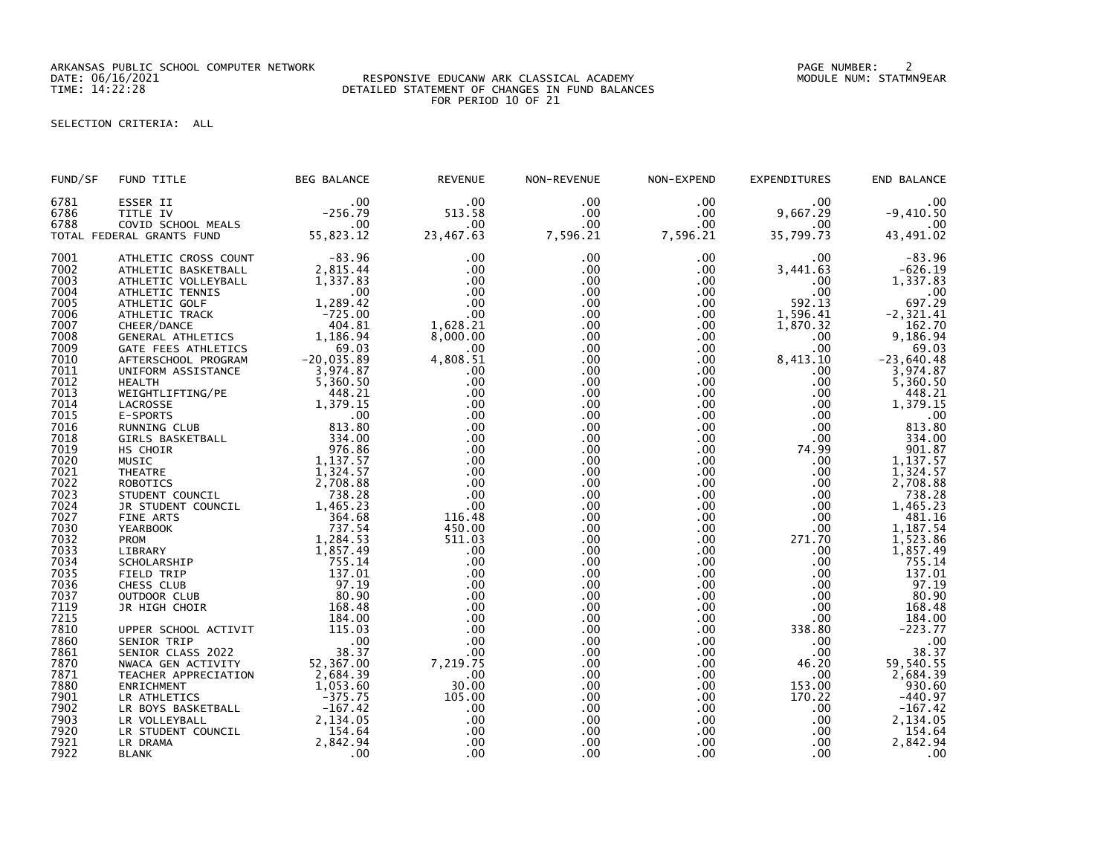ARKANSAS PUBLIC SCHOOL COMPUTER NETWORK PAGE NUMBER: 2

## DATE: 06/16/2021 RESPONSIVE EDUCANW ARK CLASSICAL ACADEMY MODULE NUM: STATMN9EAR TIME: 14:22:28 DETAILED STATEMENT OF CHANGES IN FUND BALANCES FOR PERIOD 10 OF 21

SELECTION CRITERIA: ALL

| FUND/SF      | FUND TITLE                        | <b>BEG BALANCE</b>                          | <b>REVENUE</b> | NON-REVENUE | NON-EXPEND           | <b>EXPENDITURES</b> | END BALANCE                                  |
|--------------|-----------------------------------|---------------------------------------------|----------------|-------------|----------------------|---------------------|----------------------------------------------|
| 6781         | ESSER II                          | .00                                         | .00            | .00         | .00                  | .00                 | .00                                          |
| 6786         | TITLE IV                          | $-256.79$                                   | 513.58         | .00         | .00                  | 9,667.29            | $-9,410.50$                                  |
| 6788         | COVID SCHOOL MEALS                | .00                                         | $.00 \times$   | $.00 \,$    | $.00 \,$             | .00                 | .00                                          |
|              | TOTAL FEDERAL GRANTS FUND         | 55,823.12                                   | 23,467.63      | 7,596.21    | 7,596.21             | 35,799.73           | 43,491.02                                    |
| 7001         | ATHLETIC CROSS COUNT              | $-83.96$                                    | .00            | .00         | $.00 \,$             | $.00 \,$            | $-83.96$                                     |
| 7002         | ATHLETIC BASKETBALL               | 2,815.44                                    | .00            | .00         | $.00 \,$             | 3,441.63            | $-626.19$                                    |
| 7003         | ATHLETIC VOLLEYBALL               | 1,337.83                                    | .00            | .00.        | .00                  | .00                 | 1,337.83                                     |
| 7004         | ATHLETIC TENNIS                   | .00                                         | .00            | .00         | .00                  | $.00 \,$            | $\overline{0}0$ .<br>697.29                  |
| 7005         | ATHLETIC GOLF                     | 1,289.42                                    | .00            | .00         | $.00 \,$             | 592.13              |                                              |
| 7006         | ATHLETIC TRACK                    | $-725.00$                                   | .00            | .00         | $.00 \,$             | 1,596.41            | $-2, 321.41$                                 |
| 7007         | CHEER/DANCE                       | 404.81                                      | 1,628.21       | .00.        | $.00 \cdot$          | 1,870.32            | 162.70                                       |
| 7008         | GENERAL ATHLETICS                 | 1,186.94                                    | 8,000.00       | .00         | $.00 \,$             | $.00 \,$            | 9,186.94                                     |
| 7009         | GATE FEES ATHLETICS               | 69.03                                       | .00            | .00         | $.00 \,$             | .00 <sub>1</sub>    | 69.03                                        |
| 7010         | AFTERSCHOOL PROGRAM               | $-20,035.89$                                | 4,808.51       | .00         | $.00 \,$             | 8,413.10            | $-23,640.48$                                 |
| 7011         | UNIFORM ASSISTANCE                | 3,974.87                                    | .00            | .00         | .00                  | .00                 | 3,974.87                                     |
| 7012         | <b>HEALTH</b>                     | 5,360.50                                    | .00            | .00         | $.00 \,$             | .00                 | 5,360.50                                     |
| 7013         | WEIGHTLIFTING/PE                  | 448.21                                      | .00            | .00         | $.00 \,$             | $.00 \,$            | 448.21                                       |
| 7014         | LACROSSE                          | 1,379.15                                    | .00            | .00         | .00                  | $.00 \,$            | 1,379.15                                     |
| 7015         | E-SPORTS                          | .00                                         | .00            | .00         | .00                  | $.00 \,$            | .00                                          |
| 7016         | RUNNING CLUB                      | 813.80                                      | .00            | .00         | .00                  | .00                 | 813.80                                       |
| 7018         | GIRLS BASKETBALL                  | 334.00                                      | .00            | .00         | $.00 \,$             | $.00 \,$            | 334.00                                       |
| 7019         | HS CHOIR                          | 976.86                                      | .00            | .00         | $.00 \,$             | 74.99               | 901.87                                       |
| 7020         | MUSIC                             | 1,137.57                                    | .00            | .00         | $.00 \,$             | $.00 \,$            | 1,137.57                                     |
| 7021         | <b>THEATRE</b><br><b>ROBOTICS</b> | 1,324.57<br>2,708.88                        | .00<br>.00     | .00         | .00                  | $.00 \,$            | 1,324.57                                     |
| 7022<br>7023 | STUDENT COUNCIL                   | 738.28                                      | .00            | .00<br>.00  | $.00 \,$<br>$.00 \,$ | .00<br>$.00 \,$     | 2,708.88                                     |
| 7024         | JR STUDENT COUNCIL                | 1,465.23                                    | .00            | .00         | $.00 \,$             | .00                 | 738.28<br>1,465.23                           |
| 7027         | FINE ARTS                         | 364.68                                      | 116.48         | .00         | .00                  | $.00 \,$            | 481.16                                       |
| 7030         | <b>YEARBOOK</b>                   | 737.54                                      | 450.00         | .00         | .00                  | .00                 |                                              |
| 7032         | PROM                              | 1,284.53                                    | 511.03         | .00         | $.00 \,$             | 271.70              | 1, 187.54<br>1, 523.86                       |
| 7033         | LIBRARY                           | 1,857.49                                    | .00            | .00         | $.00 \,$             | $.00 \,$            | 1,857.49                                     |
| 7034         | SCHOLARSHIP                       | 755.14                                      | .00            | .00         | $.00 \,$             | $.00 \,$            | 755.14                                       |
| 7035         | FIELD TRIP                        | 137.01                                      | .00            | .00         | $.00 \,$             | .00                 | 137.01                                       |
| 7036         | CHESS CLUB                        | 97.19                                       | .00            | .00         | $.00 \,$             | $.00 \,$            | 97.19                                        |
| 7037         | OUTDOOR CLUB                      | 80.90                                       | .00            | .00         | $.00 \,$             | $.00 \,$            | 80.90                                        |
| 7119         | JR HIGH CHOIR                     | 168.48                                      | .00            | .00         | .00                  | .00                 | 168.48                                       |
| 7215         |                                   | 184.00                                      | .00            | .00         | $.00 \,$             | $.00 \,$            | 184.00                                       |
| 7810         | UPPER SCHOOL ACTIVIT              | 115.03                                      | .00            | .00         | $.00 \,$             | 338.80              | $-223.77$                                    |
| 7860         | SENIOR TRIP                       |                                             | .00            | .00         | $.00 \,$             | $.00 \,$            |                                              |
| 7861         | SENIOR CLASS 2022                 | $\begin{array}{c} .00 \\ 38.37 \end{array}$ | .00            | .00         | .00                  | $.00 \,$            | $\begin{array}{r} 0.00 \\ 38.37 \end{array}$ |
| 7870         | NWACA GEN ACTIVITY                | 52,367.00                                   | 7,219.75       | .00         | $.00 \,$             | 46.20               | 59,540.55                                    |
| 7871         | TEACHER APPRECIATION              | 2,684.39                                    | .00            | .00         | .00                  | .00                 | 2,684.39                                     |
| 7880         | ENRICHMENT                        | 1,053.60                                    | 30.00          | .00         | .00                  | 153.00              | 930.60                                       |
| 7901         | LR ATHLETICS                      | $-375.75$                                   | 105.00         | .00         | $.00 \,$             | 170.22              | $-440.97$                                    |
| 7902         | LR BOYS BASKETBALL                | $-167.42$                                   | .00            | .00         | .00                  | $.00 \,$            | $-167.42$                                    |
| 7903         | LR VOLLEYBALL                     | 2,134.05                                    | .00            | .00         | $.00 \cdot$          | $.00 \,$            | 2,134.05                                     |
| 7920         | LR STUDENT COUNCIL                | 154.64                                      | .00            | .00         | $.00 \,$             | .00                 | 154.64                                       |
| 7921         | LR DRAMA                          | 2,842.94                                    | .00            | .00         | $.00 \,$             | $.00 \,$            | 2,842.94                                     |
| 7922         | <b>BLANK</b>                      | .00                                         | .00            | .00         | .00                  | .00                 | .00                                          |